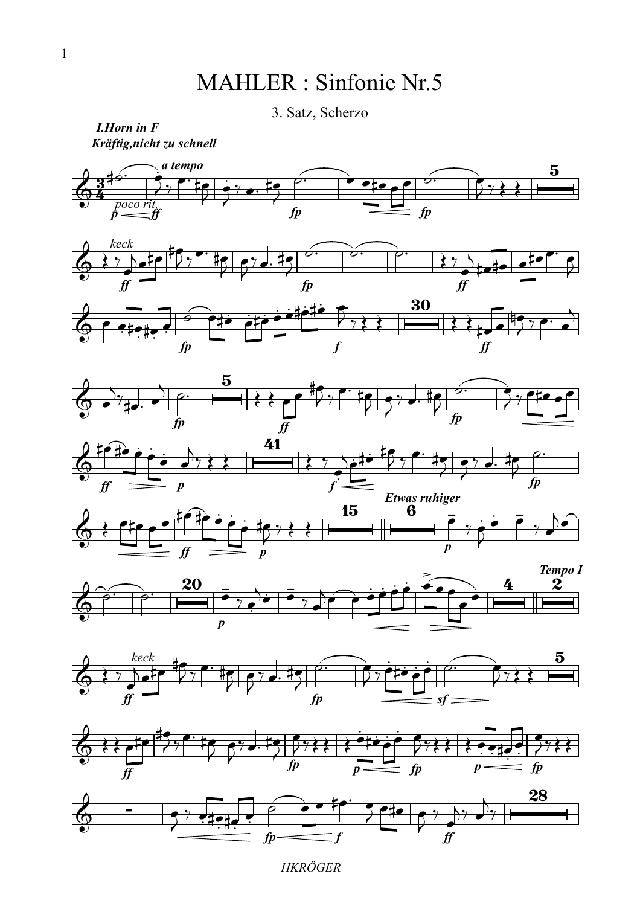## MAHLER : Sinfonie Nr.5

3. Satz, Scherzo

*Kräftig,nicht zu schnell I.Horn in F*



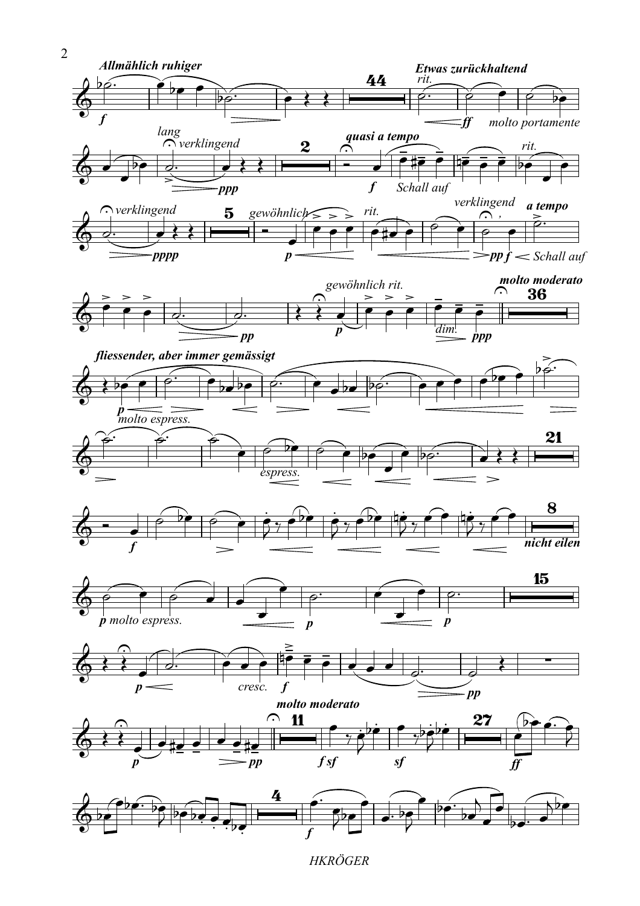

*HKRÖGER*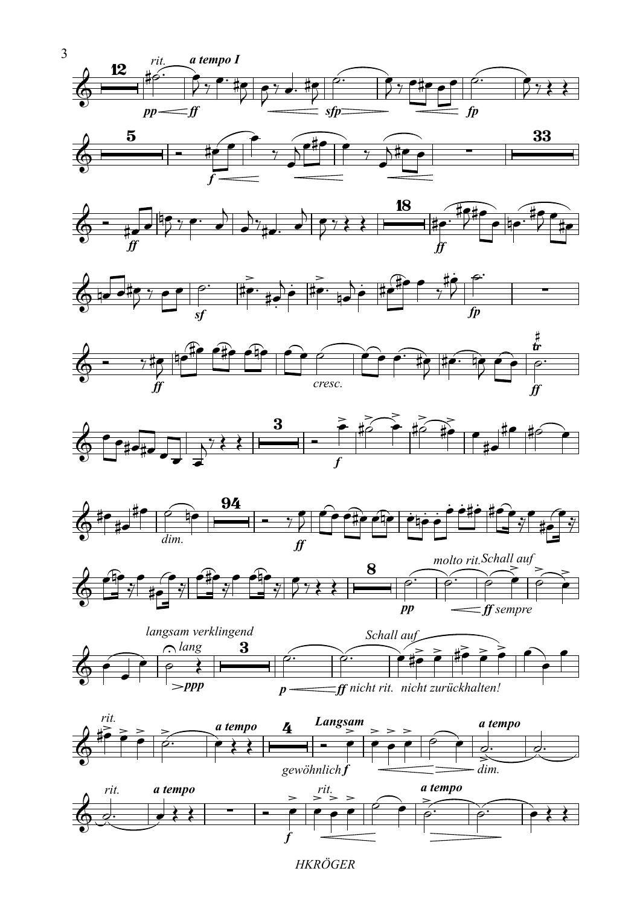



















*HKRÖGER*